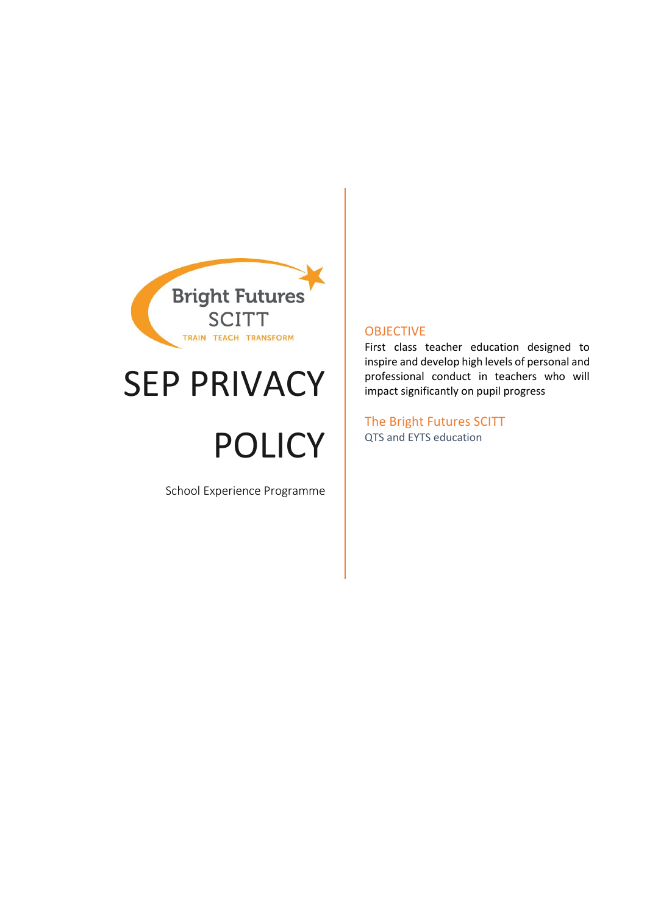

## SEP PRIVACY

# POLICY

School Experience Programme

#### OBJECTIVE

First class teacher education designed to inspire and develop high levels of personal and professional conduct in teachers who will impact significantly on pupil progress

The Bright Futures SCITT QTS and EYTS education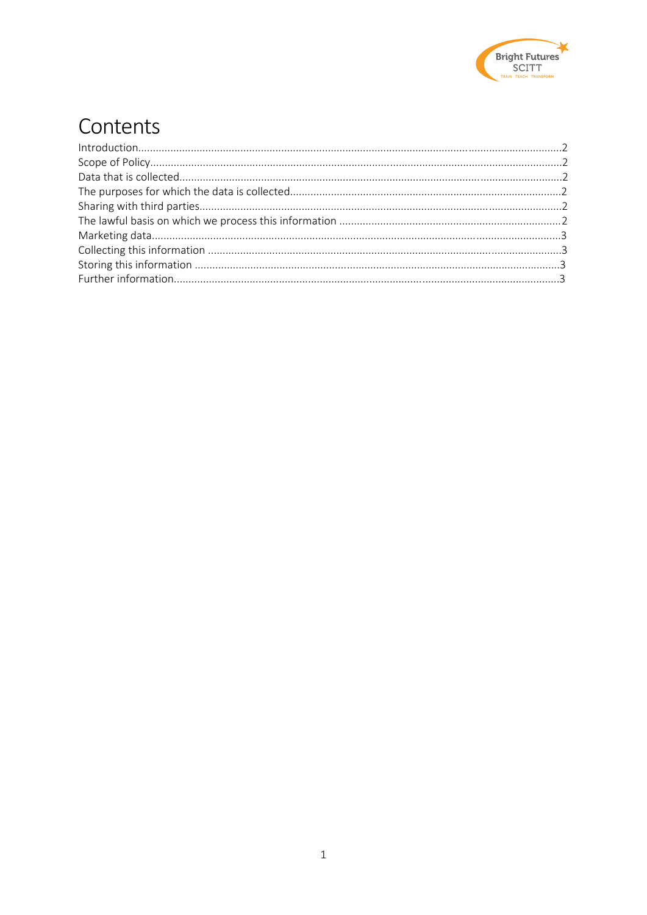

## Contents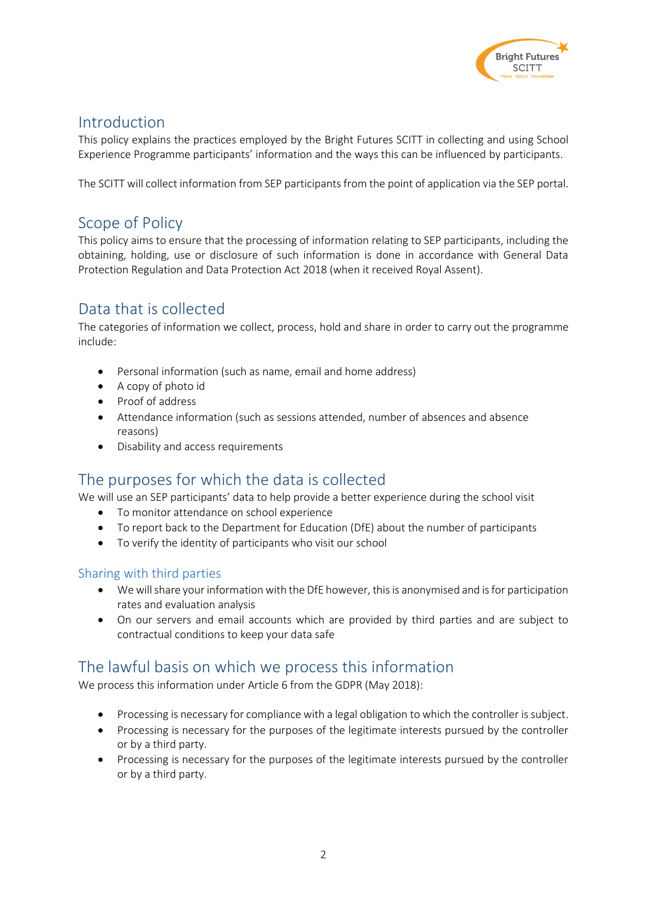

### Introduction

This policy explains the practices employed by the Bright Futures SCITT in collecting and using School Experience Programme participants' information and the ways this can be influenced by participants.

The SCITT will collect information from SEP participants from the point of application via the SEP portal.

## Scope of Policy

This policy aims to ensure that the processing of information relating to SEP participants, including the obtaining, holding, use or disclosure of such information is done in accordance with General Data Protection Regulation and Data Protection Act 2018 (when it received Royal Assent).

## Data that is collected

The categories of information we collect, process, hold and share in order to carry out the programme include:

- Personal information (such as name, email and home address)
- A copy of photo id
- Proof of address
- Attendance information (such as sessions attended, number of absences and absence reasons)
- Disability and access requirements

## The purposes for which the data is collected

We will use an SEP participants' data to help provide a better experience during the school visit

- To monitor attendance on school experience
- To report back to the Department for Education (DfE) about the number of participants
- To verify the identity of participants who visit our school

#### Sharing with third parties

- We will share your information with the DfE however, this is anonymised and is for participation rates and evaluation analysis
- On our servers and email accounts which are provided by third parties and are subject to contractual conditions to keep your data safe

## The lawful basis on which we process this information

We process this information under Article 6 from the GDPR (May 2018):

- Processing is necessary for compliance with a legal obligation to which the controller is subject.
- Processing is necessary for the purposes of the legitimate interests pursued by the controller or by a third party.
- Processing is necessary for the purposes of the legitimate interests pursued by the controller or by a third party.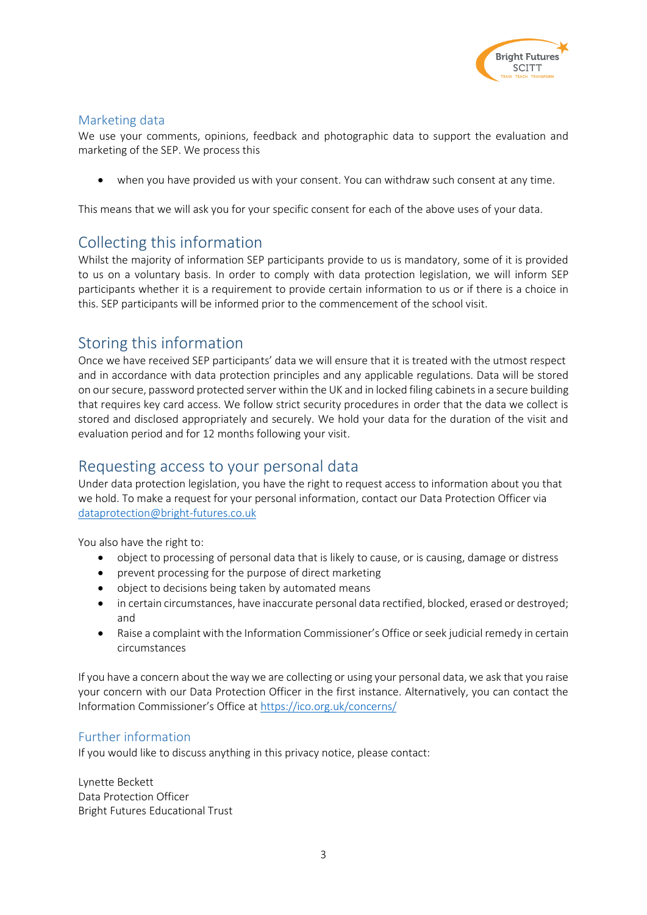

#### Marketing data

We use your comments, opinions, feedback and photographic data to support the evaluation and marketing of the SEP. We process this

when you have provided us with your consent. You can withdraw such consent at any time.

This means that we will ask you for your specific consent for each of the above uses of your data.

## Collecting this information

Whilst the majority of information SEP participants provide to us is mandatory, some of it is provided to us on a voluntary basis. In order to comply with data protection legislation, we will inform SEP participants whether it is a requirement to provide certain information to us or if there is a choice in this. SEP participants will be informed prior to the commencement of the school visit.

## Storing this information

Once we have received SEP participants' data we will ensure that it is treated with the utmost respect and in accordance with data protection principles and any applicable regulations. Data will be stored on our secure, password protected server within the UK and in locked filing cabinets in a secure building that requires key card access. We follow strict security procedures in order that the data we collect is stored and disclosed appropriately and securely. We hold your data for the duration of the visit and evaluation period and for 12 months following your visit.

## Requesting access to your personal data

Under data protection legislation, you have the right to request access to information about you that we hold. To make a request for your personal information, contact our Data Protection Officer via [dataprotection@bright-futures.co.uk](mailto:dataprotection@bright-futures.co.uk)

You also have the right to:

- object to processing of personal data that is likely to cause, or is causing, damage or distress
- prevent processing for the purpose of direct marketing
- object to decisions being taken by automated means
- in certain circumstances, have inaccurate personal data rectified, blocked, erased or destroyed; and
- Raise a complaint with the Information Commissioner's Office or seek judicial remedy in certain circumstances

If you have a concern about the way we are collecting or using your personal data, we ask that you raise your concern with our Data Protection Officer in the first instance. Alternatively, you can contact the Information Commissioner's Office at <https://ico.org.uk/concerns/>

#### Further information

If you would like to discuss anything in this privacy notice, please contact:

Lynette Beckett Data Protection Officer Bright Futures Educational Trust